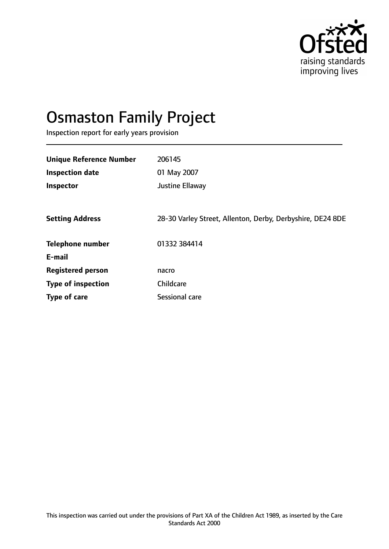

# Osmaston Family Project

Inspection report for early years provision

| <b>Unique Reference Number</b> | 206145                                                     |
|--------------------------------|------------------------------------------------------------|
| <b>Inspection date</b>         | 01 May 2007                                                |
| Inspector                      | Justine Ellaway                                            |
|                                |                                                            |
| <b>Setting Address</b>         | 28-30 Varley Street, Allenton, Derby, Derbyshire, DE24 8DE |
| <b>Telephone number</b>        | 01332 384414                                               |
| E-mail                         |                                                            |
| <b>Registered person</b>       | nacro                                                      |
| <b>Type of inspection</b>      | Childcare                                                  |
| Type of care                   | Sessional care                                             |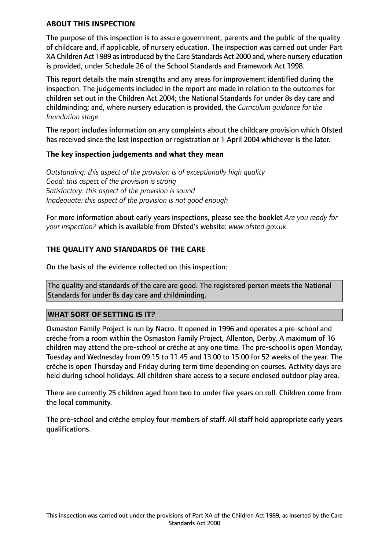### **ABOUT THIS INSPECTION**

The purpose of this inspection is to assure government, parents and the public of the quality of childcare and, if applicable, of nursery education. The inspection was carried out under Part XA Children Act 1989 as introduced by the Care Standards Act 2000 and, where nursery education is provided, under Schedule 26 of the School Standards and Framework Act 1998.

This report details the main strengths and any areas for improvement identified during the inspection. The judgements included in the report are made in relation to the outcomes for children set out in the Children Act 2004; the National Standards for under 8s day care and childminding; and, where nursery education is provided, the *Curriculum guidance for the foundation stage.*

The report includes information on any complaints about the childcare provision which Ofsted has received since the last inspection or registration or 1 April 2004 whichever is the later.

### **The key inspection judgements and what they mean**

*Outstanding: this aspect of the provision is of exceptionally high quality Good: this aspect of the provision is strong Satisfactory: this aspect of the provision is sound Inadequate: this aspect of the provision is not good enough*

For more information about early years inspections, please see the booklet *Are you ready for your inspection?* which is available from Ofsted's website: *www.ofsted.gov.uk.*

### **THE QUALITY AND STANDARDS OF THE CARE**

On the basis of the evidence collected on this inspection:

The quality and standards of the care are good. The registered person meets the National Standards for under 8s day care and childminding.

### **WHAT SORT OF SETTING IS IT?**

Osmaston Family Project is run by Nacro. It opened in 1996 and operates a pre-school and crèche from a room within the Osmaston Family Project, Allenton, Derby. A maximum of 16 children may attend the pre-school or crèche at any one time. The pre-school is open Monday, Tuesday and Wednesday from 09.15 to 11.45 and 13.00 to 15.00 for 52 weeks of the year. The crèche is open Thursday and Friday during term time depending on courses. Activity days are held during school holidays. All children share access to a secure enclosed outdoor play area.

There are currently 25 children aged from two to under five years on roll. Children come from the local community.

The pre-school and crèche employ four members of staff. All staff hold appropriate early years qualifications.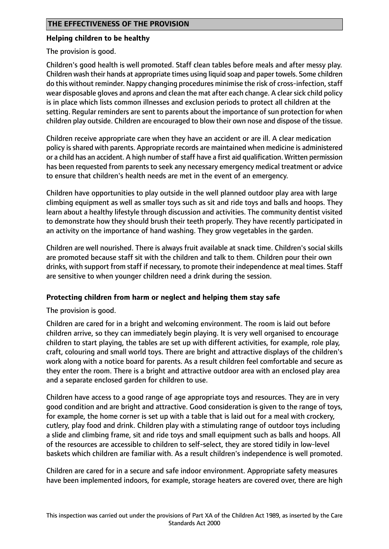## **Helping children to be healthy**

The provision is good.

Children's good health is well promoted. Staff clean tables before meals and after messy play. Children wash their hands at appropriate times using liquid soap and paper towels. Some children do this without reminder. Nappy changing procedures minimise the risk of cross-infection,staff wear disposable gloves and aprons and clean the mat after each change. A clear sick child policy is in place which lists common illnesses and exclusion periods to protect all children at the setting. Regular reminders are sent to parents about the importance of sun protection for when children play outside. Children are encouraged to blow their own nose and dispose of the tissue.

Children receive appropriate care when they have an accident or are ill. A clear medication policy is shared with parents. Appropriate records are maintained when medicine is administered or a child has an accident. A high number of staff have a first aid qualification. Written permission has been requested from parents to seek any necessary emergency medical treatment or advice to ensure that children's health needs are met in the event of an emergency.

Children have opportunities to play outside in the well planned outdoor play area with large climbing equipment as well as smaller toys such as sit and ride toys and balls and hoops. They learn about a healthy lifestyle through discussion and activities. The community dentist visited to demonstrate how they should brush their teeth properly. They have recently participated in an activity on the importance of hand washing. They grow vegetables in the garden.

Children are well nourished. There is always fruit available at snack time. Children's social skills are promoted because staff sit with the children and talk to them. Children pour their own drinks, with support from staff if necessary, to promote their independence at meal times. Staff are sensitive to when younger children need a drink during the session.

# **Protecting children from harm or neglect and helping them stay safe**

The provision is good.

Children are cared for in a bright and welcoming environment. The room is laid out before children arrive, so they can immediately begin playing. It is very well organised to encourage children to start playing, the tables are set up with different activities, for example, role play, craft, colouring and small world toys. There are bright and attractive displays of the children's work along with a notice board for parents. As a result children feel comfortable and secure as they enter the room. There is a bright and attractive outdoor area with an enclosed play area and a separate enclosed garden for children to use.

Children have access to a good range of age appropriate toys and resources. They are in very good condition and are bright and attractive. Good consideration is given to the range of toys, for example, the home corner is set up with a table that is laid out for a meal with crockery, cutlery, play food and drink. Children play with a stimulating range of outdoor toys including a slide and climbing frame, sit and ride toys and small equipment such as balls and hoops. All of the resources are accessible to children to self-select, they are stored tidily in low-level baskets which children are familiar with. As a result children's independence is well promoted.

Children are cared for in a secure and safe indoor environment. Appropriate safety measures have been implemented indoors, for example, storage heaters are covered over, there are high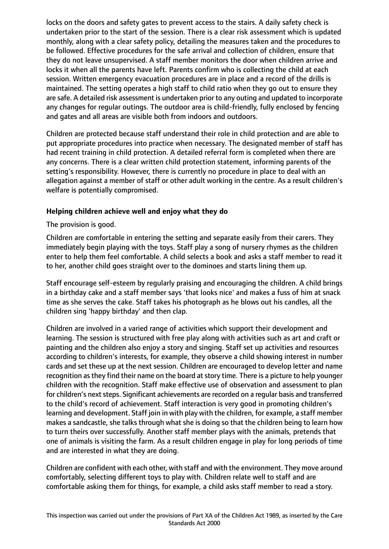locks on the doors and safety gates to prevent access to the stairs. A daily safety check is undertaken prior to the start of the session. There is a clear risk assessment which is updated monthly, along with a clear safety policy, detailing the measures taken and the procedures to be followed. Effective procedures for the safe arrival and collection of children, ensure that they do not leave unsupervised. A staff member monitors the door when children arrive and locks it when all the parents have left. Parents confirm who is collecting the child at each session. Written emergency evacuation procedures are in place and a record of the drills is maintained. The setting operates a high staff to child ratio when they go out to ensure they are safe. A detailed risk assessment is undertaken prior to any outing and updated to incorporate any changes for regular outings. The outdoor area is child-friendly, fully enclosed by fencing and gates and all areas are visible both from indoors and outdoors.

Children are protected because staff understand their role in child protection and are able to put appropriate procedures into practice when necessary. The designated member of staff has had recent training in child protection. A detailed referral form is completed when there are any concerns. There is a clear written child protection statement, informing parents of the setting's responsibility. However, there is currently no procedure in place to deal with an allegation against a member of staff or other adult working in the centre. As a result children's welfare is potentially compromised.

# **Helping children achieve well and enjoy what they do**

The provision is good.

Children are comfortable in entering the setting and separate easily from their carers. They immediately begin playing with the toys. Staff play a song of nursery rhymes as the children enter to help them feel comfortable. A child selects a book and asks a staff member to read it to her, another child goes straight over to the dominoes and starts lining them up.

Staff encourage self-esteem by regularly praising and encouraging the children. A child brings in a birthday cake and a staff member says 'that looks nice' and makes a fuss of him at snack time as she serves the cake. Staff takes his photograph as he blows out his candles, all the children sing 'happy birthday' and then clap.

Children are involved in a varied range of activities which support their development and learning. The session is structured with free play along with activities such as art and craft or painting and the children also enjoy a story and singing. Staff set up activities and resources according to children's interests, for example, they observe a child showing interest in number cards and set these up at the next session. Children are encouraged to develop letter and name recognition as they find their name on the board at story time. There is a picture to help younger children with the recognition. Staff make effective use of observation and assessment to plan for children's next steps. Significant achievements are recorded on a regular basis and transferred to the child's record of achievement. Staff interaction is very good in promoting children's learning and development. Staff join in with play with the children, for example, a staff member makes a sandcastle, she talks through what she is doing so that the children being to learn how to turn theirs over successfully. Another staff member plays with the animals, pretends that one of animals is visiting the farm. As a result children engage in play for long periods of time and are interested in what they are doing.

Children are confident with each other, with staff and with the environment. They move around comfortably, selecting different toys to play with. Children relate well to staff and are comfortable asking them for things, for example, a child asks staff member to read a story.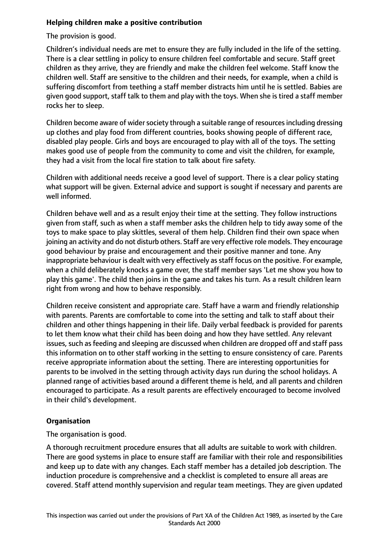## **Helping children make a positive contribution**

The provision is good.

Children's individual needs are met to ensure they are fully included in the life of the setting. There is a clear settling in policy to ensure children feel comfortable and secure. Staff greet children as they arrive, they are friendly and make the children feel welcome. Staff know the children well. Staff are sensitive to the children and their needs, for example, when a child is suffering discomfort from teething a staff member distracts him until he is settled. Babies are given good support, staff talk to them and play with the toys. When she is tired a staff member rocks her to sleep.

Children become aware of wider society through a suitable range of resources including dressing up clothes and play food from different countries, books showing people of different race, disabled play people. Girls and boys are encouraged to play with all of the toys. The setting makes good use of people from the community to come and visit the children, for example, they had a visit from the local fire station to talk about fire safety.

Children with additional needs receive a good level of support. There is a clear policy stating what support will be given. External advice and support is sought if necessary and parents are well informed.

Children behave well and as a result enjoy their time at the setting. They follow instructions given from staff, such as when a staff member asks the children help to tidy away some of the toys to make space to play skittles, several of them help. Children find their own space when joining an activity and do not disturb others. Staff are very effective role models. They encourage good behaviour by praise and encouragement and their positive manner and tone. Any inappropriate behaviour is dealt with very effectively as staff focus on the positive. For example, when a child deliberately knocks a game over, the staff member says 'Let me show you how to play this game'. The child then joins in the game and takes his turn. As a result children learn right from wrong and how to behave responsibly.

Children receive consistent and appropriate care. Staff have a warm and friendly relationship with parents. Parents are comfortable to come into the setting and talk to staff about their children and other things happening in their life. Daily verbal feedback is provided for parents to let them know what their child has been doing and how they have settled. Any relevant issues, such as feeding and sleeping are discussed when children are dropped off and staff pass this information on to other staff working in the setting to ensure consistency of care. Parents receive appropriate information about the setting. There are interesting opportunities for parents to be involved in the setting through activity days run during the school holidays. A planned range of activities based around a different theme is held, and all parents and children encouraged to participate. As a result parents are effectively encouraged to become involved in their child's development.

# **Organisation**

The organisation is good.

A thorough recruitment procedure ensures that all adults are suitable to work with children. There are good systems in place to ensure staff are familiar with their role and responsibilities and keep up to date with any changes. Each staff member has a detailed job description. The induction procedure is comprehensive and a checklist is completed to ensure all areas are covered. Staff attend monthly supervision and regular team meetings. They are given updated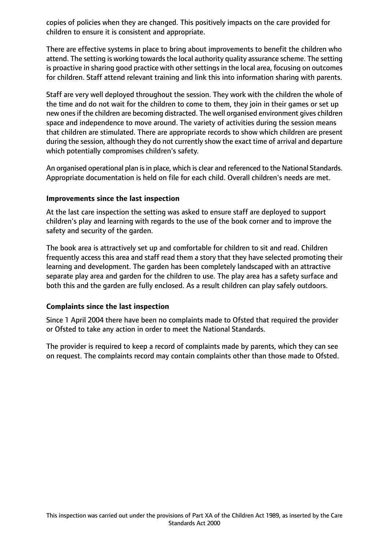copies of policies when they are changed. This positively impacts on the care provided for children to ensure it is consistent and appropriate.

There are effective systems in place to bring about improvements to benefit the children who attend. The setting is working towards the local authority quality assurance scheme. The setting is proactive in sharing good practice with other settings in the local area, focusing on outcomes for children. Staff attend relevant training and link this into information sharing with parents.

Staff are very well deployed throughout the session. They work with the children the whole of the time and do not wait for the children to come to them, they join in their games or set up new ones if the children are becoming distracted. The well organised environment gives children space and independence to move around. The variety of activities during the session means that children are stimulated. There are appropriate records to show which children are present during the session, although they do not currently show the exact time of arrival and departure which potentially compromises children's safety.

An organised operational plan is in place, which is clear and referenced to the National Standards. Appropriate documentation is held on file for each child. Overall children's needs are met.

#### **Improvements since the last inspection**

At the last care inspection the setting was asked to ensure staff are deployed to support children's play and learning with regards to the use of the book corner and to improve the safety and security of the garden.

The book area is attractively set up and comfortable for children to sit and read. Children frequently access this area and staff read them a story that they have selected promoting their learning and development. The garden has been completely landscaped with an attractive separate play area and garden for the children to use. The play area has a safety surface and both this and the garden are fully enclosed. As a result children can play safely outdoors.

#### **Complaints since the last inspection**

Since 1 April 2004 there have been no complaints made to Ofsted that required the provider or Ofsted to take any action in order to meet the National Standards.

The provider is required to keep a record of complaints made by parents, which they can see on request. The complaints record may contain complaints other than those made to Ofsted.